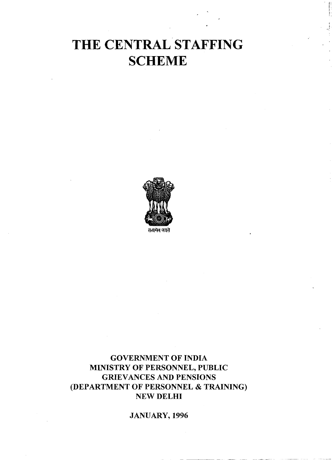# **THE CENTRAL STAFFING SCHEME**



सत्यमेव जयते

### **GOVERNMENT OF INDIA MINISTRY OF PERSONNEL, PUBLIC GRIEVANCES AND PENSIONS (DEPARTMENT OF PERSONNEL** & **TRAINING) NEW DELHI**

### **JANUARY, 1996**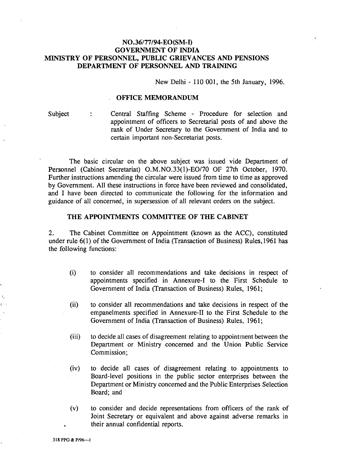### **N0.36177194-EO(SM-I) GOVERNMENT OF INDIA MINISTRY OF PERSONNEL, PUBLIC GRIEVANCES AND PENSIONS DEPARTMENT OF PERSONNEL AND TRAINING**

New Delhi - 110 001, the 5th January, 1996.

### **OFFICE MEMORANDUM**

Subject : Central Staffing Scheme - Procedure for selection and appointment of officers to Secretarial posts of and above the rank of Under Secretary to the Government of India and to certain important non-Secretariat posts.

The basic circular on the above subject was issued vide Department of Personnel (Cabinet Secretariat) O.M.N0.33(1)-E0/70 OF 27th October, 1970. Further instructions amending the circular were issued from time to time as approved by Government. All these instructions in force have been reviewed and consolidated, and I have been directed to communicate the following for the information and guidance of all concerned, in supersession of all relevant orders on the subject.

### **THE APPOINTMENTS COMMITTEE OF THE CABINET**

2. The Cabinet Committee on Appointment (known as the ACC), constituted under rule 6(1) of the Government of India (Transaction of Business) Rules, 1961 has the following functions:

- (i) to consider all recommendations and take decisions in respect of appointments specified in Annexure-I to the First Schedule to Government of India (Transaction of Business) Rules, 1961;
- (ii) to consider all recommendations and take decisions in respect of the empanelments specified in Annexure-I1 to the First Schedule to the Government of India (Transaction of Business) Rules, 1961;
- (iii) to decide all cases of disagreement relating to appointment between the Department or Ministry concerned and the Union Public Service Commission;
- (iv) to decide all cases of disagreement relating to appointments to Board-level positions in the public sector enterprises between the Department or Ministry concerned and the Public Enterprises Selection Board; and
- (v) to consider and decide representations from officers of the rank of Joint Secretary or equivalent and above against adverse remarks in . their annual confidential reports.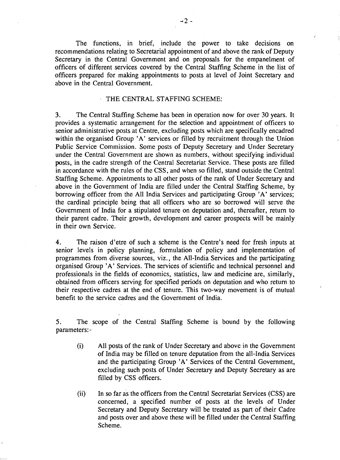The functions, in brief, include the power to take decisions on recommendations relating to Secretarial appointment of and above the rank of Deputy Secretary in the Central Government and on proposals for the empanelment of officers of different services covered by the Central Staffing Scheme in the list of officers prepared for making appointments to posts at level of Joint Secretary and above in the Central Government.

### THE CENTRAL STAFFING SCHEME:

**3.** The Central Staffing Scheme has been in operation now for over 30 years. It provides a systematic arrangement for the selection and appointment of officers to senior administrative posts at Centre, excluding posts which are specifically encadred within the organised Group 'A' services or filled by recruitment through the Union Public Service Commission. Some posts of Deputy Secretary and Under Secretary under the Central Government are shown as numbers, without specifying individual posts, in the cadre strength of the Central Secretariat Service. These posts are filled in accordance with the rules of the CSS, and when so filled, stand outside the Central Staffing Scheme. Appointments to all other posts of the rank of Under Secretary and above in the Government of India are filled under the Central Staffing Scheme, by borrowing officer from the All India Services and participating Group 'A' services; the cardinal principle being that all officers who are so borrowed will serve the Government of India for a stipulated tenure on deputation and, thereafter, return to their parent cadre. Their growth, development and career prospects will be mainly in their own Service.

**4.** The raison d'etre of such a scheme is the Centre's need for fresh inputs at senior levels in policy planning, formulation of policy and implementation of programmes from diverse sources, viz., the All-India Services and the participating organised Group 'A' Services. The services of scientific and technical personnel and professionals in the fields of economics, statistics, law and medicine are, similarly, obtained from officers serving for specified periods on deputation and who return to their respective cadres at the end of tenure. This two-way movement is of mutual benefit to the service cadres and the Government of India.

**5.** The scope of the Central Staffing Scheme is bound by the following parameters: -

- (i) All posts of the rank of Under Secretary and above in the Government of India may be filled on tenure deputation from the all-India Services and the participating Group **'A'** Services of the Central Government, excluding such posts of Under Secretary and Deputy Secretary as are filled by CSS officers.
- (ii) In so far as the officers from the Central Secretariat Services (CSS) are concerned, a specified number of posts at the levels of Under Secretary and Deputy Secretary will be treated as part of their Cadre and posts over and above these will be filled under the Central Staffing Scheme.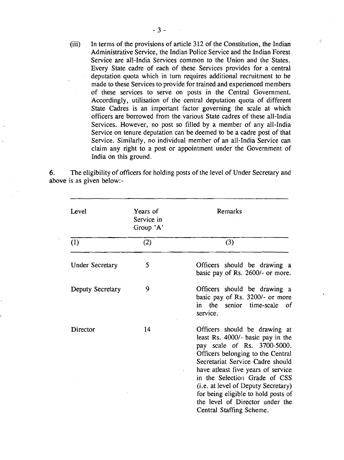(iii) In terms of the provisions of article 312 of the Constitution, the Indian Administrative Service, the Indian Police Service and the Indian Forest Service are all-India Services common to the Union and the States. Every State cadre of each of these Services provides for a central deputation quota which in turn requires additional recruitment to be made to these Services to provide for trained and experienced members of these services to serve on posts in the Central Government. Accordingly, utilisation of the central deputation quota of different State Cadres is an important factor governing the scale at which officers are borrowed from the various State cadres of these all-India Services. However, no post so filled by a member of any all-India Service on tenure deputation can be deemed to be a cadre post of that Service. Similarly, no individual member of an all-India Service can claim any right to a post or appointment under the Government of India on this ground.

**6.** The eligibility of officers for holding posts of the level of Under Secretary and above is as given below:-

| Level                  | Years of<br>Service in<br>Group 'A' | Remarks                                                                                                                                                                                                                                                                                                                                                                                        |  |  |
|------------------------|-------------------------------------|------------------------------------------------------------------------------------------------------------------------------------------------------------------------------------------------------------------------------------------------------------------------------------------------------------------------------------------------------------------------------------------------|--|--|
| (1)                    | (2)                                 | (3)                                                                                                                                                                                                                                                                                                                                                                                            |  |  |
| <b>Under Secretary</b> | 5                                   | Officers should be drawing a<br>basic pay of Rs. 2600/- or more.                                                                                                                                                                                                                                                                                                                               |  |  |
| Deputy Secretary       | 9                                   | Officers should be drawing a<br>basic pay of Rs. 3200/- or more<br>in the senior time-scale<br>– of<br>service.                                                                                                                                                                                                                                                                                |  |  |
| Director               | 14                                  | Officers should be drawing at<br>least Rs. 4000/- basic pay in the<br>pay scale of Rs. 3700-5000.<br>Officers belonging to the Central<br>Secretariat Service Cadre should<br>have atleast five years of service<br>in the Selection Grade of CSS<br>(i.e. at level of Deputy Secretary)<br>for being eligible to hold posts of<br>the level of Director under the<br>Central Staffing Scheme. |  |  |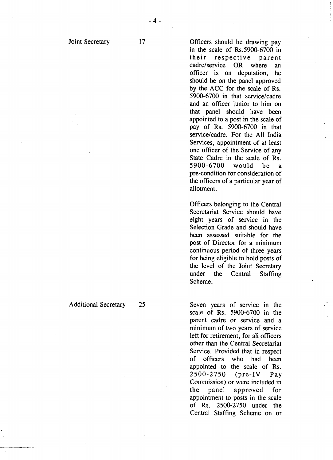$17$ 

Officers should be drawing pay in the scale of Rs.5900-6700 in their respective parent cadre/service OR where an officer is on deputation, he should be on the panel approved by the ACC for the scale of Rs. 5900-6700 in that service/cadre and an officer junior to him on that panel should have been appointed to a post in the scale of pay of Rs. 5900-6700 in that service/cadre. For the All India Services, appointment of at least one officer of the Service of any State Cadre in the scale of Rs. 5900-6700 would be a pre-condition for consideration of the officers of a particular year of

Officers belonging to the Central Secretariat Service should have eight years of service in the Selection Grade and should have been assessed suitable for the post of Director for a minimum continuous period of three years for being eligible to hold posts of the level of the Joint Secretary under the Central Staffing Scheme.

allotment.

Seven years of service in the scale of Rs. 5900-6700 in the parent cadre or service and a minimum of two years of service left for retirement, for all officers other than the Central Secretariat Service. Provided that in respect of officers who had been appointed to the scale of Rs. 2500-2750 (pre-IV Pay Commission) or were included in the panel approved for appointment to posts in the scale of Rs. 2500-2750 under the Central Staffing Scheme on or

Additional Secretary 25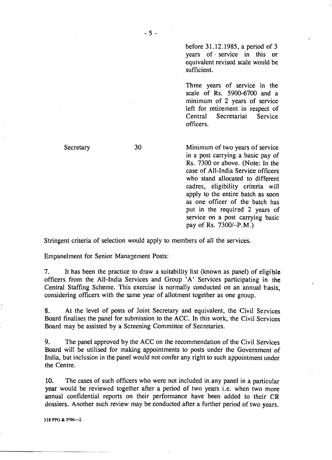before 31.12.1985, a period of 3 years of service in this or equivalent revised scale would be sufficient.

Three years of service in the scale of Rs. 5900-6700 and a minimum of 2 years of service left for retirement in respect of Central Secretariat Service officers.

**Secretary** 

30

Minimum of two years of service in a post carrying a basic pay of Rs. 7300 or above. (Note: In the case of All-India Service officers who stand allocated to different cadres, eligibility criteria will apply to the entire batch as soon as one officer of the batch has put in the required 2 years of service on a post carrying basic pay of Rs. 7300/-.P.M.)

Stringent criteria of selection would apply to members of all the services.

Empanelment for Senior Manazement Posts:

7. It has been the practice to draw a suitability list (known as panel) of eligible officers from the All-India Services and Group 'A' Services participating in the Central Staffing Scheme. This exercise is normally conducted on an annual basis, considering officers with the same year of allotment together as one group.

**8.** At the level of posts of Joint Secretary and equivalent, the Civil Services Board finalises the panel for submission to the ACC. In this work, the Civil Services Board may be assisted by a Screening Committee of Secretaries.

9. The panel approved by the ACC on the recommendation of the Civil Services Board will be utilised for making appointments to posts under the Government of India, but inclusion in the panel would not confer any right to such appointment under the Centre.

**10.** The cases of such officers who were not included in any panel in a particular year would be reviewed together after a period of two years i.e. when two more annual confidential reports on their performance have been added to their CR dossiers. Another such review may be conducted after a further period of two years.

**3 18 PPG** & **PI962**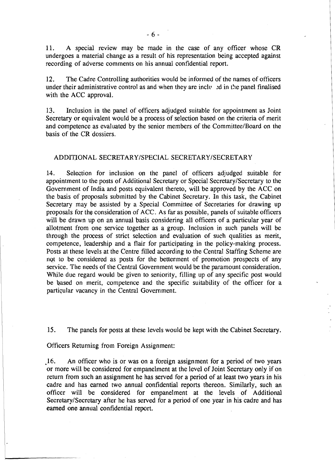11. A special review may be made in the case of any officer whose CR undergoes a material change as a result of his representation being accepted against recording of adverse comments on his annual confidential report.

12. The Cadre Controlling authorities would be informed of the names of officers under their administrative control as and when they are included in the panel finalised with the ACC approval.

13. Inclusion in the panel of officers adjudged suitable for appointment as Joint Secretary or equivalent would be a process of selection based on the criteria of merit and competence as evaluated by the senior members of the Committee/Board on the basis of the CR dossiers.

### ADDITIONAL SECRETARY/SPECIAL SECRETARY/SECRETARY

14. Selection for inclusion on the panel of officers adjudged suitable for appointment to the posts of Additional Secretary or Special Secretary/Secretary to the Government of India and posts equivalent thereto, will be approved by the ACC on the basis of proposals submitted by the Cabinet Secretary. In this task, the Cabinet Secretary may be assisted by a Special Committee of Secretaries for drawing up proposals for the consideration of ACC. As far as possible, panels of suitable officers will be drawn up on an annual basis considering all officers of a particular year of allotment from one service together as a group. Inclusion in such panels will be through the process of strict selection and evaluation of such qualities as merit, competence, leadership and a flair for participating in the policy-making process. Posts at these levels at the Centre filled according to the Central Staffing Scheme are not to be considered as posts for the betterment of promotion prospects of any service. The needs of the Central Government would be the paramount consideration. While due regard would be given to seniority, filling up of any specific post would be based on merit, competence and the specific suitability of the officer for a partiqular vacancy in the Central Government.

15. The panels for posts at these levels would be kept with the Cabinet Secretary.

Officers Returning from Foreign Assignment:

16 An officer who is or was on a foreign assignment for a period of two years or more will be considered for empanelment at the level of Joint Secretary only if on return from such an assignment he has served for a period of at least two years in his cadre and has earned two annual confidential reports thereon. Similarly, such an officer will be considered for empanelment at the levels of Additional Secretary/Secretary after he has served for a period of one year in his cadre and has **earned** one annual confidential report.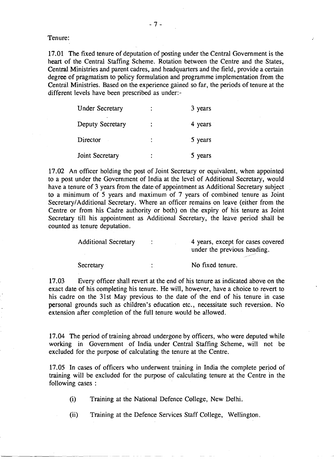Tenure:

17.01 The fixed tenure of deputation of posting under the Central Government is the heart of the Central Staffing Scheme. Rotation between the Centre and the States, Central Ministries and parent cadres, and headquarters and the field, provide a certain degree of pragmatism to policy formulation and programme implementation from the Central Ministries. Based on the experience gained so far, the periods of tenure at the different levels have been prescribed as under:-

| <b>Under Secretary</b> | $\ddot{\phantom{0}}$ | 3 years |
|------------------------|----------------------|---------|
| Deputy Secretary       |                      | 4 years |
| Director               |                      | 5 years |
| Joint Secretary        |                      | 5 years |

17.02 An officer holding the post of Joint Secretary or equivalent, when appointed to a post under the Government of India at the level of Additional Secretary, would have a tenure of 3 years from the date of appointment as Additional Secretary subject to a minimum of 5 years and maximum of 7 years of combined tenure as Joint SecretarylAdditional Secretary. Where an officer remains on leave (either from the Centre or from his Cadre authority or both) on the expiry of his tenure as Joint Secretary till his appointment as Additional Secretary, the leave period shall be counted as tenure deputation.

| <b>Additional Secretary</b> | 4 years, except for cases covered |
|-----------------------------|-----------------------------------|
|                             | under the previous heading.       |
|                             |                                   |

17.03 Every officer shall revert at the end of his tenure as indicated above on the exact date of his completing his tenure. He will, however, have a choice to revert to his cadre on the 31st May previous to the date of the end of his tenure in case personal grounds such as children's education etc., necessitate such reversion. No extension after completion of the full tenure would be allowed.

Secretary : No fixed tenure.

17.04 The period of training abroad undergone by officers, who were deputed while working in Government of India under Central Staffing Scheme, will not be excluded for the purpose of calculating the tenure at the Centre.

17.05 In cases of officers who underwent training in India the complete period of training will be excluded for the purpose of calculating tenure at the Centre in the following cases :

(i) Training at the National Defence College, New Delhi.

(ii) Training at the Defence Services Staff College, Wellington.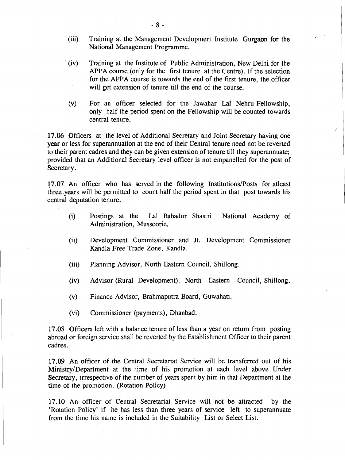- (iii) Training at the Management Development Institute Gurgaon for the National Management Programme.
- (iv) Training at the Institute of Public Administration, New Delhi for the APPA course (only for the first tenure at the Centre). If the selection for the APPA course is towards the end of the first tenure, the officer will get extension of tenure till the end of the course.
- (v) For an officer selected for the Jawahar Lal Nehru Fellowship, only half the period spent on the Fellowship will be counted towards central tenure.

**17.06** Officers at the level of Additional Secretary and Joint Secretary having one year or less for superannuation at the end of their Central tenure need not be reverted to their parent cadres and they can be given extension of tenure till they superannuate; provided that an Additional Secretary level officer is not empanelled for the post of Secretary.

**17.07** An officer who has served in the following Institutions/Posts for atleast three years will be permitted to count half the period spent in that post towards his central deputation tenure.

- (i) Postings at the La1 Bahadur Shastri National Academy of Administration, Mussoorie.
- (ii) Development Commissioner and Jt. Development Commissioner Kandla Free Trade Zone, Kandla.
- (iii) Planning Advisor, North Eastern Council, Shillong.
- (iv) Advisor (Rural Development), North Eastern Council, Shillong.
- (v) Finance Advisor, Brahmaputra Board, Guwahati.
- (vi) Commissioner (payments), Dhanbad.

**17.08** Officers left with a balance tenure of less than a year on return from posting abroad or foreign service shall be reverted by the Establishment Officer to their parent cadres.

**17.09** An officer of the Central Secretariat Service will be transferred out of his Ministry/Department at the time of his promotion at each level above Under Secretary, irrespective of the number of years spent by him in that Department at the time of the promotion. (Rotation Policy)

**17.10** An officer of Central Secretariat Service will not be attracted by the 'Rotation Policy' if he has less than three years of service left to superannuate from the time his name is included in the Suitability List or Select List.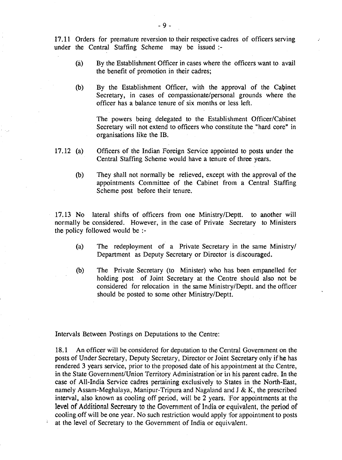17.11 Orders for premature reversion to their respective cadres of officers serving under the Central Staffing Scheme may be issued :-

- (a) By the Establishment Officer in cases where the officers want to avail the benefit of promotion in their cadres;
- @) By the Establishment Officer, with the approval of the Cabinet Secretary, in cases of compassionate/personal grounds where the officer has a balance tenure of six months or less left.

The powers being delegated to the Establishment Officer/Cabinet Secretary will not extend to officers who constitute the "hard core" in organisations like the IB.

- **17.12** (a) Officers of the Indian Foreign Service appointed to posts under the Central Staffing Scheme would have a tenure of three years.
	- @) They shall not normally be relieved, except with the approval of the appointments Committee of the Cabinet from a Central Staffing Scheme post before their tenure.

**17.13** No lateral shifts of officers from one Ministry/I)eptt. to another will normally be considered. However, in the case of Private Secretary to Ministers the policy followed would be :-

- (a) The redeployment of a Private Secretary in the same Ministry/ Department as Deputy Secretary or Director is discouraged.
- @) The Private Secretary (to Minister) who has been empanelled for holding post of Joint Secretary at the Centre should also not be considered for relocation in the same Ministry/Deptt. and the officer should be posted to some other Ministry/Deptt.

Intervals Between Postings on Deputations to the Centre:

18.1 An officer will be considered for deputation to the Central Government on the posts of Under Secretary, Deputy Secretary, Director or Joint Secretary only if he has rendered **3** years service, prior to the proposed date of his appointment at the Centre, in the State Government/Union Territory Administration'or in his parent cadre. In the case of All-India Service cadres pertaining exclusively to States in the North-East, namely Assam-Meghalaya, Manipur-Tripura and Nagaland and J & K, the prescribed interval, also known as cooling off period, will be **2** years. 'For appointments at the level of Additional Secretary to the Government of India or equivalent, the period of cooling off will be one year. No such restriction would apply 'for appointment to posts at the level of Secretary to the Government of India or equivalent.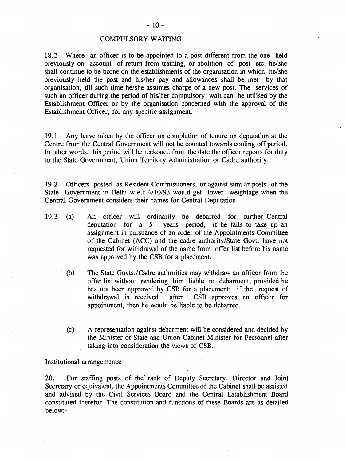### COMPULSORY WAITING

18.2 Where an officer is to be appointed to a post different from the one held previously on account of return from training, or abolition of post etc. he/she shall continue to be borne on the establishments of the organisation in which he/she previously held the post and his/her pay and allowances shall be met by that organisation, till such time helshe assumes charge of a new post. The services of such an officer during the period of his/her compulsory wait can be utilised by the Establishment Officer or by the organisation concerned with the approval of the Establishment Officer, for any specific assignment.

19.1 Any leave taken by the officer on completion of tenure on deputation at the Centre from the Central Government will not be counted towards cooling off period. In other words, this period will be reckoned from the date the officer reports for duty to the State Government, Union Territory Administration or Cadre authority.

19.2 Officers posted as Resident Commissioners, or against similar posts of the State Government in Delhi w.e.f 4/10/93 would get lower weightage when the Central Government considers their names for Central Deputation.

- 19.3 (a) An officer will ordingily be debarred for further Central deputation for a 5 years period, if he fails to take up an assignment in pursuance of an order of the Appointments Committee of the Cabinet (ACC) and the cadre authoritylstate Govt. have not requested for withdrawal of the name from offer list before his name was approved by the CSB for a placement.
	- (b) The State Govts./Cadre authorities may withdraw an officer from the offer list without rendering him liable to debarment, provided he has not been approved by CSB for a placement; if the request of withdrawal is received after CSB approves an officer for appointment, then he would be liable to be debarred.
	- (c) A representation against debarment will be considered and decided by the Minister of State and Union Cabinet Minister for Personnel after taking into consideration the views of CSB.

Institutional arrangements:

20. For staffing posts of the rank of Deputy Secretary, Director and Joint Secretary or equivalent, the Appointments Committee of the Cabinet shall be assisted and advised by the Civil Services Board and the Central Establishment Board constituted therefor. The constitution and functions of these Boards are as detailed below:-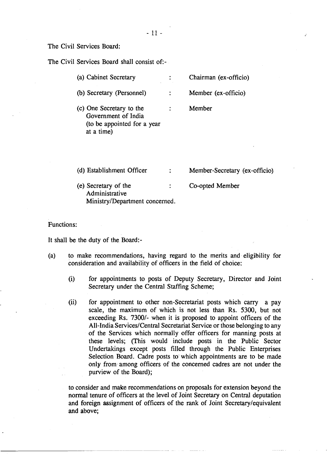### The Civil Services Board:

The Civil Services Board shall consist of:-

| (a) Cabinet Secretary     | Chairman (ex-officio) |
|---------------------------|-----------------------|
| (b) Secretary (Personnel) | Member (ex-officio)   |

- (c) One Secretary to the Member  $\mathbb{Z}^+$ Government of India (to be appointed for a year at a time)
- (d) Establishment Officer : Member-Secretary (ex-officio)
- (e) Secretary of the co-opted Member Administrative Ministry/Department concerned.

### Functions:

It shall be the duty of the Board:-

- (a) to make recommendations, having regard to the merits and eligibility for consideration and availability of officers in the field of choice:
	- (i) for appointments to posts of Deputy Secretary, Director and Joint Secretary under the Central Staffing Scheme;
	- (ii) for appointment to other non-Secretariat posts which carry a pay scale, the maximum of which is not less than Rs. 5300, but not exceeding Rs. 7300/- when it is proposed to appoint officers of the All-India Services/Central Secretariat Service or those belonging to any of the Services which normally offer officers for manning posts at these levels; (This would include posts in the Public Sector Undertakings except posts filled through the Public Enterprises Selection Board. Cadre posts to'which appointments are to be made only from among officers of the concerned cadres are not under the purview of the Board);

to consider and make recommendations on proposals for extension beyond the normal tenure of officers at the level of Joint Secretary on Central deputation and foreign assignment of officers of the rank of Joint Secretary/equivalent and above;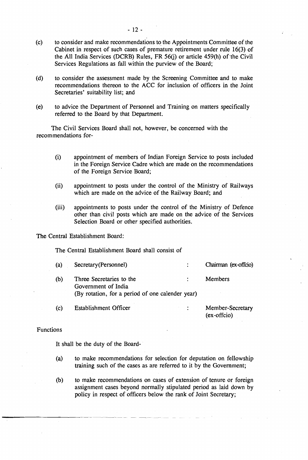- (c) to consider and make recommendations to the Appointments Committee of the Cabinet in respect of such cases of premature retirement under rule **16(3)** of the All India Services (DCRB) Rules, FR  $56(i)$  or article 459(h) of the Civil Services Regulations as fall within the purview of the Board;
- (d) to consider the assessment made by the Screening Committee and to make recommendations thereon to the ACC for inclusion of officers in the Joint Secretaries' suitability list; and
- (e) to advice the Department of Personnel and Training on matters specifically referred to the Board by that Department.

The Civil Services Board shall not, however, be concerned with the recommendations for-

- (i) appointment of members of Indian Foreign Service to posts included in the Foreign Service Cadre which are made on the recommendations of the Foreign Service Board;
- (ii) appointment to posts under the control of the Ministry of Railways which are made on the advice of the Railway Board; and
- (iii) appointments to posts under the control of the Ministry of Defence other than civil posts which are made on the advice of the Services Selection Board or other specified authorities.

The Central Establishment Board:

The Central Establishment Board shall consist of

| (a) | Secretary (Personnel)                                                                               | Chairman (ex-offcio) |
|-----|-----------------------------------------------------------------------------------------------------|----------------------|
| (b) | Three Secretaries to the<br>Government of India<br>(By rotation, for a period of one calender year) | Members              |
| (c) | <b>Establishment Officer</b>                                                                        | Member-Secretary     |

## (ex-offcio)

### Functions

It shall be the duty of the Board-

- **(a)** to make recommendations for selection for deputation on fellowship training such of the cases as are referred to it by the Government;
- (b) to make recommendations on cases of extension of tenure or foreign assignment cases beyond normally stipulated period as laid down by policy in respect of officers below the rank of Joint Secretary;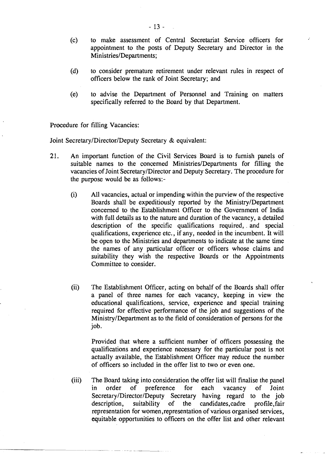- (c) to make assessment of Central Secretariat Service officers for appointment to the posts of Deputy Secretary and Director in the Ministries/Departments;
- (d) to consider premature retirement under relevant rules in respect of officers below the rank of Joint Secretary; and
- (e) to advise the Department of Personnel and Training on matters specifically referred to the Board by that Department.

Procedure for filling Vacancies:

Joint Secretary/Director/Deputy Secretary & equivalent:

- **21.** An important function of the Civil Services Board is to furnish panels of suitable names to the concerned Ministries/Departments for filling the vacancies of Joint Secretary/Director and Deputy Secretary. The procedure for the purpose would be as follows:-
	- (i) All vacancies, actual or impending within the purview of the respective Boards shall be expeditiously reported by the Ministry/Department concerned to the Establishment Officer to the Government of India with full details as to the nature and duration of the vacancy, a detailed description of the specific qualifications required, . and special qualifications, experience etc., if any, needed in the incumbent. It will be open to the Ministries and departments to indicate at the same time the names of any particular officer or officers whose claims and suitability they wish the respective Boards or the Appointments Committee to consider.
	- (ii) The Establishment Officer, acting on behalf of the Boards shall offer a panel of three names for each vacancy, keeping in view the educational qualifications, service, experience and special training required for effective performance of the job and suggestions of the MinistryIDepartment as to the field of consideration of persons for the job.

Provided that where a sufficient number of officers possessing the qualifications and experience necessary for the particular post is not actually available, the Establishment Officer may reduce the number of officers so included in the offer list to two or even one.

(iii) The Board taking into consideration the offer list will finalise the panel<br>in order of preference for each vacancy of Joint preference Secretary/Director/Deputy Secretary having regard to the job description, suitability of the candidates, cadre profile, fair representation for women ,representation of various organised services, equitable opportunities to officers on the offer list and other relevant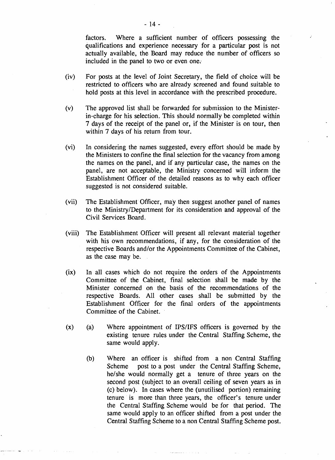factors. Where a sufficient number of officers possessing the qualifications and experience necessary for a particular post is not actually available, the Board may reduce the number of officers so included in the panel to two or even one;

- (iv) For posts at the level of Joint Secretary, the field of choice will be restricted to officers who are already screened and found suitable to hold posts at this level in accordance with the prescribed procedure.
- (v) The approved list shall be forwarded for submission to the Ministerin-charge for his selection. This should normally be completed within 7 days of the receipt of the panel or, if the Minister is on tour, then within 7 days of his return from tour.
- (vi) In considering the names suggested, every effort should be made by the Ministers to confine the final selection for the vacancy from among the names on the panel, and if any particular case, the names on the panel, are not acceptable, the Ministry concerned will inform the Establishment Officer of the detailed reasons as to why each officer suggested is not considered suitable.
- (vii) The Establishment Officer, may then suggest another panel of names to the MinistryIDepartment for its consideration and approval of the Civil Services Board.
- (viii) The Establishment Officer will present all relevant material together with his own recommendations, if any, for the consideration of the respective Boards and/or the Appointments Committee of the Cabinet, as the case may be.
- (ix) In all cases which do not require the orders of the Appointments Committee of the Cabinet, final selection shall be made by the Minister concerned on the basis of the recommendations of the respective Boards. All other cases shall be submitted by the Establishment Officer for the final orders of the appointments Committee of the Cabinet.
- (x) (a) Where appointment of IPS/IFS officers is governed by the existing tenure rules under the Central Staffing Scheme, the same would apply.
	- (b) Where an officer is shifted from a non Central Staffing Scheme post to a post under the Central Staffing Scheme, he/she would normally get a tenure of three years on the second post (subject to an overall ceiling of seven years as in (c) below). In cases where the (unutilised portion) remaining tenure is more than three years, the officer's tenure under the Central Staffing Scheme would be for that period. The same would apply to an officer shifted from a post under the Central Staffing Scheme to a non Central Staffing Scheme post.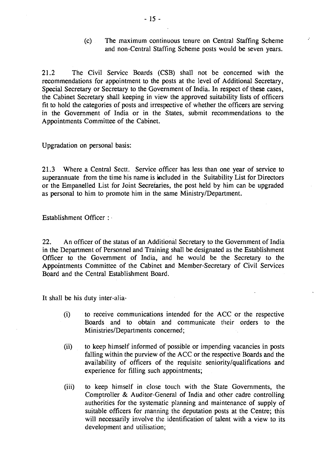(c) The maximum continuous tenure on Central Staffing Scheme and non-Central Staffing Scheme posts would be seven years.

21.2 The Civil Service Boards (CSB) shall not be concerned with the recommendations for appointment to the posts at the level of Additional Secretary, Special Secretary or Secretary to the Government of India. In respect of these cases, the Cabinet Secretary shall keeping in view the approved suitability lists of officers fit to hold the categories of posts and irrespective of whether the officers are serving in the Government of India or in the States, submit recommendations to the Appointments Committee of the Cabinet.

Upgradation on personal basis:

**21.3** Where a Central Sectt. Service officer has less than one year of service to superannuate from the time his name is included in the Suitability List for Directors or the Empanelled List for Joint Secretaries, the post held by him can be upgraded as personal to him to promote him in the same Ministry/Department.

Establishment Officer :

22. An officer of the status of an Additional Secretary to the Government of India in the Department of Personnel and Training shall be designated as the Establishment Officer to the Government of India, and he would be the Secretary to the Appointments Committee of the Cabinet and Member-Secretary of Civil Services Board and the Central Establishment Board.

It shall be his duty inter-alia-

- (i) to receive communications intended for the ACC or the respective Boards and to obtain and communicate their orders to the Ministries/Departments concerned;
- (ii) to keep himself informed of possible or impending vacancies in posts falling within the purview of the ACC or the respective Boards and the availability of officers of the requisite senioritylqualifications and experience for filling such appointments;
- (iii) to keep himself in close touch with the State Governments, the Comptroller & Auditor-General of India and other cadre controlling authorities for the systematic planning and maintenance of supply of suitable officers for manning the deputation posts at the Centre; this will necessarily involve the identification of talent with a view to its development and utilisation;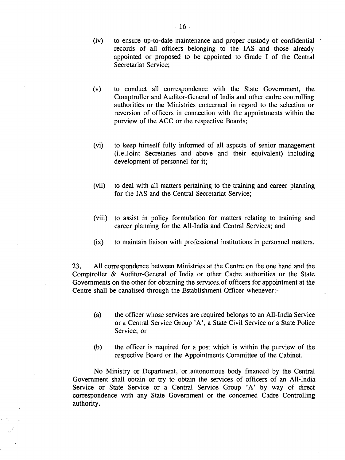- (iv) to ensure up-to-date maintenance and proper custody of confidential . records of all officers belonging to the IAS and those already appointed or proposed to be appointed to Grade I of the Central Secretariat Service;
- (v) to conduct all correspondence with the State Government, the Comptroller and Auditor-General of India and other cadre controlling authorities or the Ministries concerned in regard to the selection or reversion of officers in connection with the appointments within the purview of the ACC or the respective Boards;
- (vi) to keep himself fully informed of all aspects of senior management (i.e. Joint Secretaries and above and their equivalent) including development of personnel for it;
- (vii) to deal with all matters pertaining to the training and career planning for the IAS and the Central Secretariat Service;
- (viii) to assist in policy formulation for matters relating to training and career planning for the All-India and Central Services; and
- (ix) to maintain liaison with professional institutions in personnel matters.

**23.** All correspondence between Ministries at the Centre on the one hand and the Comptroller & Auditor-General of India or other Cadre authorities or the State Governments on the other for obtaining the services of officers for appointment at the Centre shall be canalised through the Establishment Officer whenever:-

- (a) the officer whose services are required belongs to an All-India Service or a Central Service Group 'A', a State Civil Service or a State Police Service; or
- (b) the officer is required for a post which is within the purview of the respective Board or the Appointments Committee of the Cabinet.

No Ministry or Department, **or** autonomous body financed by the Central Government shall obtain or try to obtain the services of officers of an All-India Service or State Service or a Central Service Group 'A' by way of direct correspondence with any State Government or the concerned Cadre Controlling authority.